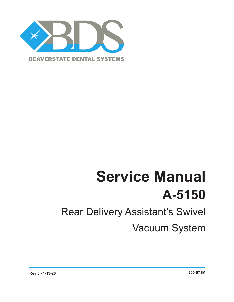

# **Service Manual A-5150**

## Rear Delivery Assistant's Swivel

Vacuum System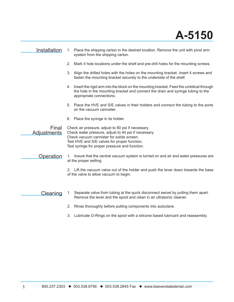#### Installation 1. Place the shipping carton in the desired location. Remove the unit with pivot arm system from the shipping carton. 2. Mark 4 hole locations under the shelf and pre-drill holes for the mounting screws. 3. Align the drilled holes with the holes on the mounting bracket. Insert 4 screws and fasten the mounting bracket securely to the underside of the shelf. 4. Insert the rigid arm into the block on the mounting bracket. Feed the umbilical through the hole in the mounting bracket and connect the drain and syringe tubing to the appropriate connections. 5. Place the HVE and S/E valves in their holders and connect the tubing to the ports on the vacuum cannister. 6. Place the syringe in its holder. Check air pressure, adjust to 80 psi if necessary. Check water pressure, adjust to 40 psi if necessary. Check vacuum cannister for solids screen. Test HVE and S/E valves for proper function. Test syringe for proper pressure and function. Final **Adjustments** Operation 1. Insure that the central vacuum system is turned on and air and water pressures are at the proper setting. 2. Lift the vacuum valve out of the holder and push the lever down towards the base of the valve to allow vacuum to begin. 1. Separate valve from tubing at the quick disconnect swivel by pulling them apart. Remove the lever and the spool and clean in an ultrasonic cleaner. 2. Rinse thoroughly before putting components into autoclave. 3. Lubricate O-Rings on the spool with a silicone based lubricant and reassembly. **Cleaning**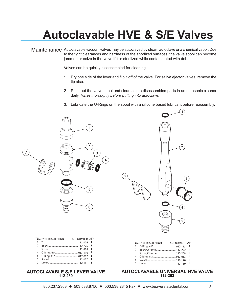### **Autoclavable HVE & S/E Valves**

Maintenance Autoclavable vacuum valves may be autoclaved by steam autoclave or a chemical vapor. Due to the tight clearances and hardness of the anodized surfaces, the valve spool can become jammed or seize in the valve if it is sterilized while contaminated with debris.

Valves can be quickly disassembled for cleaning.

- 1. Pry one side of the lever and flip it off of the valve. For saliva ejector valves, remove the tip also.
- 2. Push out the valve spool and clean all the disassembled parts in an ultrasonic cleaner daily. *Rinse thoroughly before putting into autoclave.*
- 3. Lubricate the O-Rings on the spool with a silicone based lubricant before reassembly.





|   | ITEM PART DESCRIPTION | PART NUMBER OTY |                |
|---|-----------------------|-----------------|----------------|
|   |                       |                 |                |
| 2 |                       |                 |                |
|   |                       |                 |                |
| 4 |                       |                 | $\overline{z}$ |
| 5 |                       |                 |                |
| 6 |                       |                 |                |
|   |                       |                 |                |

#### **AUTOCLAVABLE S/E LEVER VALVE 112-280**

#### **AUTOCLAVABLE UNIVERSAL HVE VALVE 112-263**

PART NUMBER QTY 017-113 3 112-272 1 112-268 1 017-013 1 112-170 1 112-169 1

ITEM PART DESCRIPTION

6 Lever...

 O-Ring, #13........................................ Body, Chrome................................... 3 Spool, Chrome................................... O-Ring, #13........................................ Swivel.................................................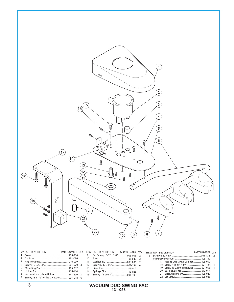

|                                                 |  |  | PART NUMBER OTY |  | ITEM PART DESCRIPTION                    | PART NUMBER OTY |  |
|-------------------------------------------------|--|--|-----------------|--|------------------------------------------|-----------------|--|
|                                                 |  |  |                 |  |                                          |                 |  |
|                                                 |  |  |                 |  |                                          |                 |  |
|                                                 |  |  |                 |  | 17 Mount, Duo Swing, Cabinet 105-050 1   |                 |  |
|                                                 |  |  |                 |  |                                          |                 |  |
|                                                 |  |  |                 |  | 19 Screw, 10-32 Phillips Round 001-056 4 |                 |  |
|                                                 |  |  |                 |  |                                          |                 |  |
|                                                 |  |  |                 |  |                                          |                 |  |
| 8 Screw, #8 x 1/2" Phillips, Plastite 001-018 6 |  |  |                 |  |                                          |                 |  |

#### 3 **VACUUM DUO SWING PAC 131-058**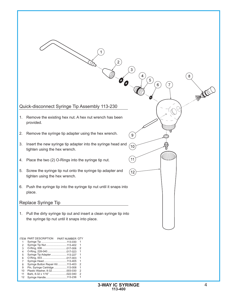

| 3              |                                  | 2 |  |
|----------------|----------------------------------|---|--|
| 4              | O-Ring, 228-040 017-023          |   |  |
| 5              | Syringe Tip Adapter113-227       | 1 |  |
| 6              |                                  | 1 |  |
| $\overline{7}$ | Syringe Head113-405              | 1 |  |
| 8              | Syringe Button Repair Kit113-403 | 2 |  |
| 9              | Pin, Syringe Cartridge 113-008   | 1 |  |
| 10             |                                  | 2 |  |
| 11             |                                  | 2 |  |
| 12             | Syringe Handle113-236            | 1 |  |
|                |                                  |   |  |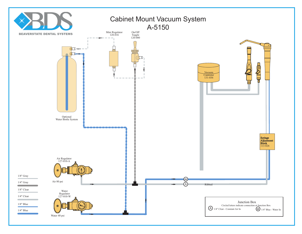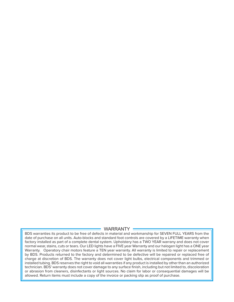#### **WARRANTY**

BDS warranties its product to be free of defects in material and workmanship for SEVEN FULL YEARS from the date of purchase on all units. Auto-blocks and standard foot controls are covered by a LIFETIME warranty when factory installed as part of a complete dental system. Upholstery has a TWO YEAR warrany and does not cover normal wear, stains, cuts or tears. Our LED lights have a FIVE year Warranty and our halogen light has a ONE year Warranty. Operatory chair motors feature a TEN year warranty. All warranty is limited to repair or replacement by BDS. Products returned to the factory and determined to be defective will be repaired or replaced free of charge at discretion of BDS. The warranty does not cover light bulbs, electrical components and trimmed or installed tubing. BDS reserves the right to void all warranties if any product is installed by other than an authorized technician. BDS' warranty does not cover damage to any surface finish, including but not limited to, discoloration or abrasion from cleaners, disinfectants or light sources. No claim for labor or consequential damages will be allowed. Return items must include a copy of the invoice or packing slip as proof of purchase.